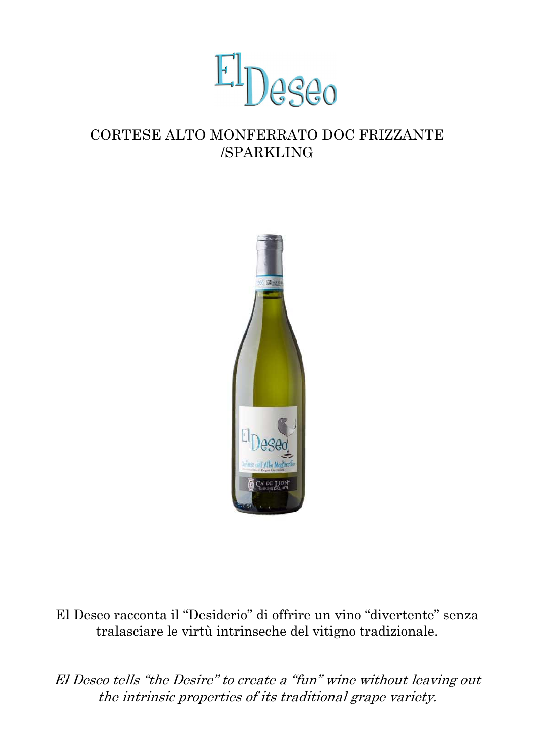

## CORTESE ALTO MONFERRATO DOC FRIZZANTE /SPARKLING



El Deseo racconta il "Desiderio" di offrire un vino "divertente" senza tralasciare le virtù intrinseche del vitigno tradizionale.

El Deseo tells "the Desire" to create a "fun" wine without leaving out the intrinsic properties of its traditional grape variety.